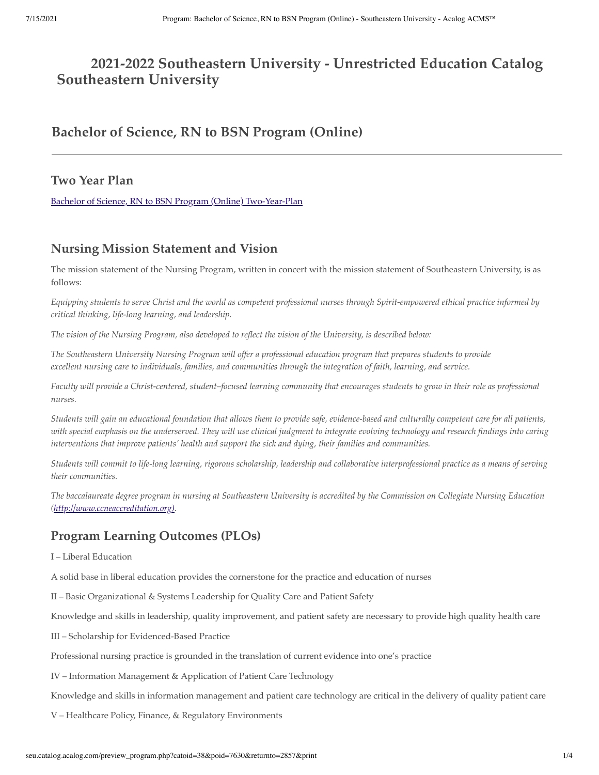# **2021-2022 Southeastern University - Unrestricted Education Catalog Southeastern University**

**Bachelor of Science, RN to BSN Program (Online)**

# **Two Year Plan**

[Bachelor of Science, RN to BSN Program \(Online\) Two-Year-Plan](http://seu.catalog.acalog.com/preview_program.php?catoid=38&poid=7713)

# **Nursing Mission Statement and Vision**

The mission statement of the Nursing Program, written in concert with the mission statement of Southeastern University, is as follows:

*Equipping students to serve Christ and the world as competent professional nurses through Spirit-empowered ethical practice informed by critical thinking, life-long learning, and leadership.*

*The vision of the Nursing Program, also developed to reflect the vision of the University, is described below:*

*The Southeastern University Nursing Program will offer a professional education program that prepares students to provide excellent nursing care to individuals, families, and communities through the integration of faith, learning, and service.*

*Faculty will provide a Christ-centered, student–focused learning community that encourages students to grow in their role as professional nurses.*

*Students will gain an educational foundation that allows them to provide safe, evidence-based and culturally competent care for all patients, with special emphasis on the underserved. They will use clinical judgment to integrate evolving technology and research findings into caring interventions that improve patients' health and support the sick and dying, their families and communities.*

*Students will commit to life-long learning, rigorous scholarship, leadership and collaborative interprofessional practice as a means of serving their communities.*

*The baccalaureate degree program in nursing at Southeastern University is accredited by the Commission on Collegiate Nursing Education [\(http://www.ccneaccreditation.org](https://slack-redir.net/link?url=http%3A%2F%2Fwww.ccneaccreditation.org)[\).](https://www.seu.edu/academics/programs/nursing/blank)*

# **Program Learning Outcomes (PLOs)**

#### I – Liberal Education

A solid base in liberal education provides the cornerstone for the practice and education of nurses

II – Basic Organizational & Systems Leadership for Quality Care and Patient Safety

Knowledge and skills in leadership, quality improvement, and patient safety are necessary to provide high quality health care

III – Scholarship for Evidenced-Based Practice

Professional nursing practice is grounded in the translation of current evidence into one's practice

IV – Information Management & Application of Patient Care Technology

Knowledge and skills in information management and patient care technology are critical in the delivery of quality patient care

V – Healthcare Policy, Finance, & Regulatory Environments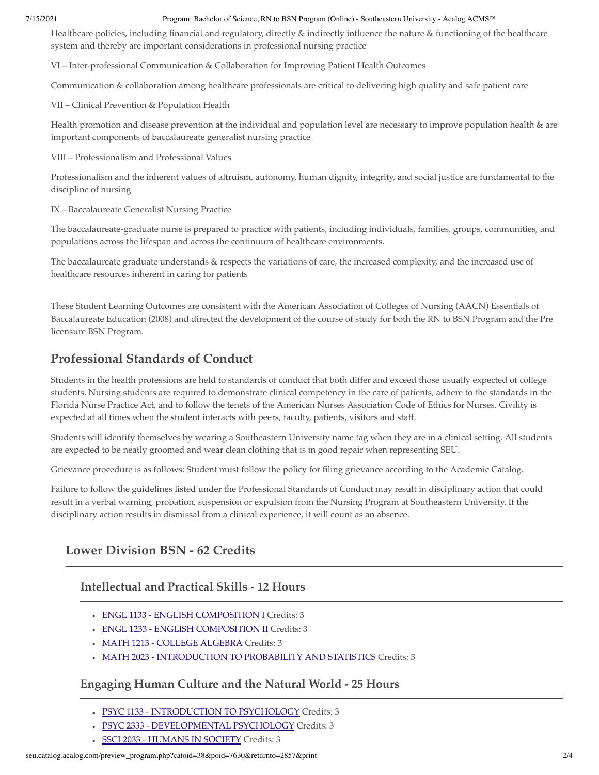#### 7/15/2021 Program: Bachelor of Science, RN to BSN Program (Online) - Southeastern University - Acalog ACMS™

Healthcare policies, including financial and regulatory, directly & indirectly influence the nature & functioning of the healthcare system and thereby are important considerations in professional nursing practice

VI – Inter-professional Communication & Collaboration for Improving Patient Health Outcomes

Communication & collaboration among healthcare professionals are critical to delivering high quality and safe patient care

VII – Clinical Prevention & Population Health

Health promotion and disease prevention at the individual and population level are necessary to improve population health & are important components of baccalaureate generalist nursing practice

VIII – Professionalism and Professional Values

Professionalism and the inherent values of altruism, autonomy, human dignity, integrity, and social justice are fundamental to the discipline of nursing

IX – Baccalaureate Generalist Nursing Practice

The baccalaureate-graduate nurse is prepared to practice with patients, including individuals, families, groups, communities, and populations across the lifespan and across the continuum of healthcare environments.

The baccalaureate graduate understands & respects the variations of care, the increased complexity, and the increased use of healthcare resources inherent in caring for patients

These Student Learning Outcomes are consistent with the American Association of Colleges of Nursing (AACN) Essentials of Baccalaureate Education (2008) and directed the development of the course of study for both the RN to BSN Program and the Pre licensure BSN Program.

# **Professional Standards of Conduct**

Students in the health professions are held to standards of conduct that both differ and exceed those usually expected of college students. Nursing students are required to demonstrate clinical competency in the care of patients, adhere to the standards in the Florida Nurse Practice Act, and to follow the tenets of the American Nurses Association Code of Ethics for Nurses. Civility is expected at all times when the student interacts with peers, faculty, patients, visitors and staff.

Students will identify themselves by wearing a Southeastern University name tag when they are in a clinical setting. All students are expected to be neatly groomed and wear clean clothing that is in good repair when representing SEU.

Grievance procedure is as follows: Student must follow the policy for filing grievance according to the Academic Catalog.

Failure to follow the guidelines listed under the Professional Standards of Conduct may result in disciplinary action that could result in a verbal warning, probation, suspension or expulsion from the Nursing Program at Southeastern University. If the disciplinary action results in dismissal from a clinical experience, it will count as an absence.

# **Lower Division BSN - 62 Credits**

### **Intellectual and Practical Skills - 12 Hours**

- ENGL 1133 ENGLISH COMPOSITION I Credits: 3
- ENGL 1233 ENGLISH COMPOSITION II Credits: 3
- MATH 1213 COLLEGE ALGEBRA Credits: 3
- MATH 2023 INTRODUCTION TO PROBABILITY AND STATISTICS Credits: 3

### **Engaging Human Culture and the Natural World - 25 Hours**

- PSYC 1133 INTRODUCTION TO PSYCHOLOGY Credits: 3
- PSYC 2333 DEVELOPMENTAL PSYCHOLOGY Credits: 3
	- SSCI 2033 HUMANS IN SOCIETY Credits: 3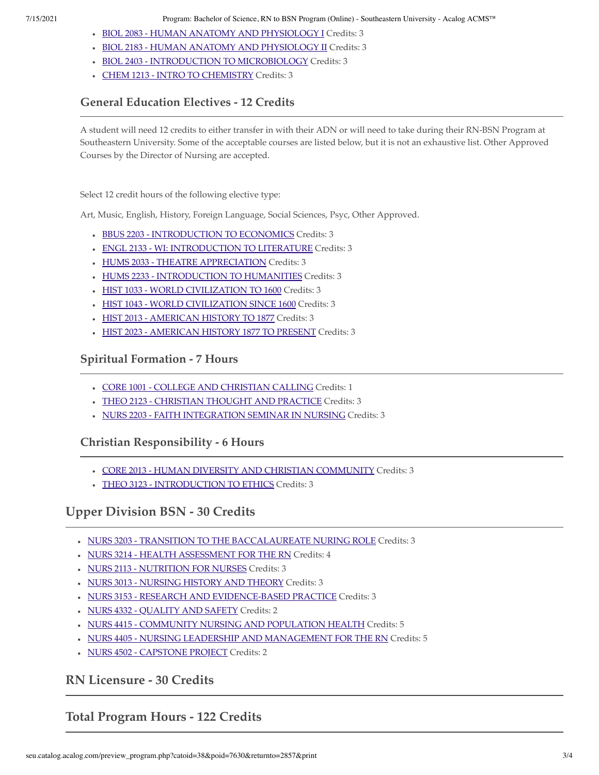7/15/2021 Program: Bachelor of Science, RN to BSN Program (Online) - Southeastern University - Acalog ACMS™

- BIOL 2083 HUMAN ANATOMY AND PHYSIOLOGY I Credits: 3
- BIOL 2183 HUMAN ANATOMY AND PHYSIOLOGY II Credits: 3
- BIOL 2403 INTRODUCTION TO MICROBIOLOGY Credits: 3
- CHEM 1213 INTRO TO CHEMISTRY Credits: 3

# **General Education Electives - 12 Credits**

A student will need 12 credits to either transfer in with their ADN or will need to take during their RN-BSN Program at Southeastern University. Some of the acceptable courses are listed below, but it is not an exhaustive list. Other Approved Courses by the Director of Nursing are accepted.

Select 12 credit hours of the following elective type:

Art, Music, English, History, Foreign Language, Social Sciences, Psyc, Other Approved.

- BBUS 2203 INTRODUCTION TO ECONOMICS Credits: 3
- ENGL 2133 WI: INTRODUCTION TO LITERATURE Credits: 3
- HUMS 2033 THEATRE APPRECIATION Credits: 3
- HUMS 2233 INTRODUCTION TO HUMANITIES Credits: 3
- HIST 1033 WORLD CIVILIZATION TO 1600 Credits: 3
- HIST 1043 WORLD CIVILIZATION SINCE 1600 Credits: 3
- HIST 2013 AMERICAN HISTORY TO 1877 Credits: 3
- HIST 2023 AMERICAN HISTORY 1877 TO PRESENT Credits: 3

#### **Spiritual Formation - 7 Hours**

- CORE 1001 COLLEGE AND CHRISTIAN CALLING Credits: 1
- THEO 2123 CHRISTIAN THOUGHT AND PRACTICE Credits: 3
- NURS 2203 FAITH INTEGRATION SEMINAR IN NURSING Credits: 3

### **Christian Responsibility - 6 Hours**

- CORE 2013 HUMAN DIVERSITY AND CHRISTIAN COMMUNITY Credits: 3
- THEO 3123 INTRODUCTION TO ETHICS Credits: 3

## **Upper Division BSN - 30 Credits**

- $\bullet$  NURS 3203 TRANSITION TO THE BACCALAUREATE NURING ROLE Credits: 3
- NURS 3214 HEALTH ASSESSMENT FOR THE RN Credits: 4
- NURS 2113 NUTRITION FOR NURSES Credits: 3
- NURS 3013 NURSING HISTORY AND THEORY Credits: 3
- NURS 3153 RESEARCH AND EVIDENCE-BASED PRACTICE Credits: 3
- NURS 4332 QUALITY AND SAFETY Credits: 2
- NURS 4415 COMMUNITY NURSING AND POPULATION HEALTH Credits: 5
- NURS 4405 NURSING LEADERSHIP AND MANAGEMENT FOR THE RN Credits: 5
- NURS 4502 CAPSTONE PROJECT Credits: 2

## **RN Licensure - 30 Credits**

# **Total Program Hours - 122 Credits**